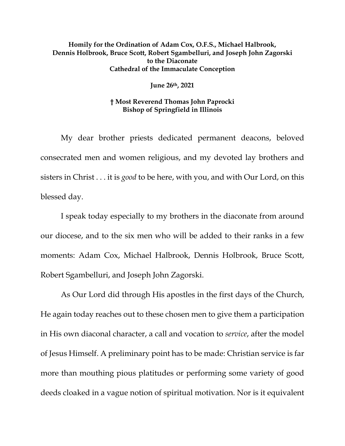## **Homily for the Ordination of Adam Cox, O.F.S., Michael Halbrook, Dennis Holbrook, Bruce Scott, Robert Sgambelluri, and Joseph John Zagorski to the Diaconate Cathedral of the Immaculate Conception**

**June 26th, 2021** 

## **† Most Reverend Thomas John Paprocki Bishop of Springfield in Illinois**

 My dear brother priests dedicated permanent deacons, beloved consecrated men and women religious, and my devoted lay brothers and sisters in Christ . . . it is *good* to be here, with you, and with Our Lord, on this blessed day.

 I speak today especially to my brothers in the diaconate from around our diocese, and to the six men who will be added to their ranks in a few moments: Adam Cox, Michael Halbrook, Dennis Holbrook, Bruce Scott, Robert Sgambelluri, and Joseph John Zagorski.

 As Our Lord did through His apostles in the first days of the Church, He again today reaches out to these chosen men to give them a participation in His own diaconal character, a call and vocation to *service*, after the model of Jesus Himself. A preliminary point has to be made: Christian service is far more than mouthing pious platitudes or performing some variety of good deeds cloaked in a vague notion of spiritual motivation. Nor is it equivalent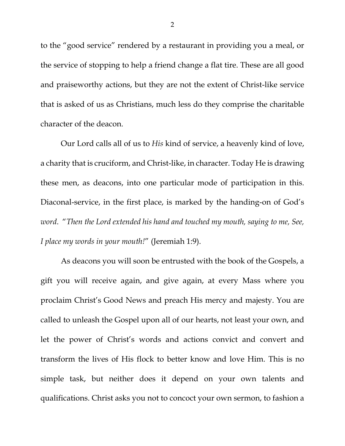to the "good service" rendered by a restaurant in providing you a meal, or the service of stopping to help a friend change a flat tire. These are all good and praiseworthy actions, but they are not the extent of Christ-like service that is asked of us as Christians, much less do they comprise the charitable character of the deacon.

 Our Lord calls all of us to *His* kind of service, a heavenly kind of love, a charity that is cruciform, and Christ-like, in character. Today He is drawing these men, as deacons, into one particular mode of participation in this. Diaconal-service, in the first place, is marked by the handing-on of God's *word*. "*Then the Lord extended his hand and touched my mouth, saying to me, See, I place my words in your mouth!*" (Jeremiah 1:9).

 As deacons you will soon be entrusted with the book of the Gospels, a gift you will receive again, and give again, at every Mass where you proclaim Christ's Good News and preach His mercy and majesty. You are called to unleash the Gospel upon all of our hearts, not least your own, and let the power of Christ's words and actions convict and convert and transform the lives of His flock to better know and love Him. This is no simple task, but neither does it depend on your own talents and qualifications. Christ asks you not to concoct your own sermon, to fashion a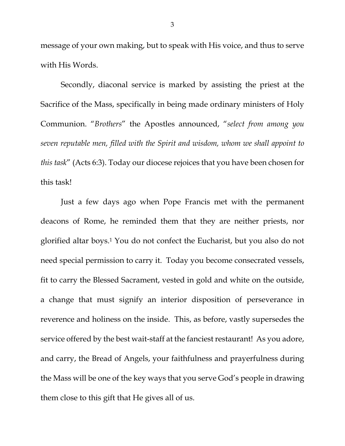message of your own making, but to speak with His voice, and thus to serve with His Words.

 Secondly, diaconal service is marked by assisting the priest at the Sacrifice of the Mass, specifically in being made ordinary ministers of Holy Communion. "*Brothers*" the Apostles announced, "*select from among you seven reputable men, filled with the Spirit and wisdom, whom we shall appoint to this task*" (Acts 6:3). Today our diocese rejoices that you have been chosen for this task!

Just a few days ago when Pope Francis met with the permanent deacons of Rome, he reminded them that they are neither priests, nor glorified altar boys.1 You do not confect the Eucharist, but you also do not need special permission to carry it. Today you become consecrated vessels, fit to carry the Blessed Sacrament, vested in gold and white on the outside, a change that must signify an interior disposition of perseverance in reverence and holiness on the inside. This, as before, vastly supersedes the service offered by the best wait-staff at the fanciest restaurant! As you adore, and carry, the Bread of Angels, your faithfulness and prayerfulness during the Mass will be one of the key ways that you serve God's people in drawing them close to this gift that He gives all of us.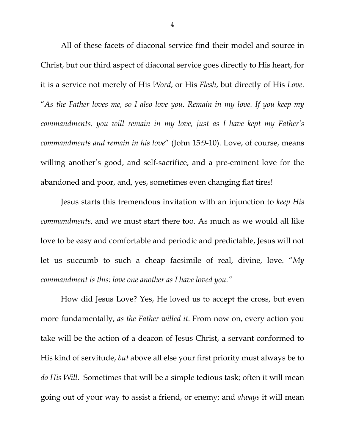All of these facets of diaconal service find their model and source in Christ, but our third aspect of diaconal service goes directly to His heart, for it is a service not merely of His *Word*, or His *Flesh*, but directly of His *Love*. "*As the Father loves me, so I also love you. Remain in my love. If you keep my commandments, you will remain in my love, just as I have kept my Father's commandments and remain in his love*" (John 15:9-10). Love, of course, means willing another's good, and self-sacrifice, and a pre-eminent love for the abandoned and poor, and, yes, sometimes even changing flat tires!

Jesus starts this tremendous invitation with an injunction to *keep His commandments*, and we must start there too. As much as we would all like love to be easy and comfortable and periodic and predictable, Jesus will not let us succumb to such a cheap facsimile of real, divine, love. "*My commandment is this: love one another as I have loved you."*

How did Jesus Love? Yes, He loved us to accept the cross, but even more fundamentally, *as the Father willed it*. From now on, every action you take will be the action of a deacon of Jesus Christ, a servant conformed to His kind of servitude, *but* above all else your first priority must always be to *do His Will*. Sometimes that will be a simple tedious task; often it will mean going out of your way to assist a friend, or enemy; and *always* it will mean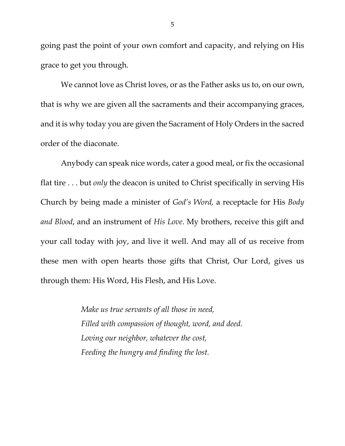going past the point of your own comfort and capacity, and relying on His grace to get you through.

We cannot love as Christ loves, or as the Father asks us to, on our own, that is why we are given all the sacraments and their accompanying graces, and it is why today you are given the Sacrament of Holy Orders in the sacred order of the diaconate.

 Anybody can speak nice words, cater a good meal, or fix the occasional flat tire . . . but *only* the deacon is united to Christ specifically in serving His Church by being made a minister of *God's Word,* a receptacle for His *Body and Blood*, and an instrument of *His Love*. My brothers, receive this gift and your call today with joy, and live it well. And may all of us receive from these men with open hearts those gifts that Christ, Our Lord, gives us through them: His Word, His Flesh, and His Love.

> *Make us true servants of all those in need, Filled with compassion of thought, word, and deed. Loving our neighbor, whatever the cost, Feeding the hungry and finding the lost.*

5